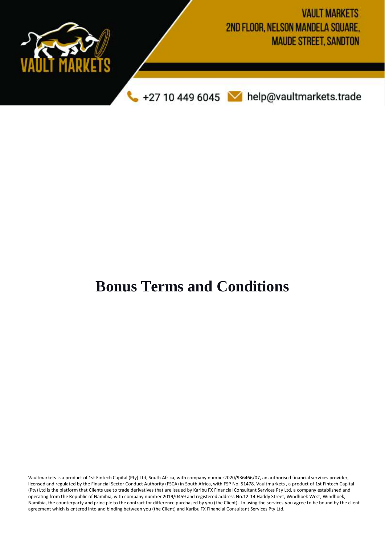

## **Bonus Terms and Conditions**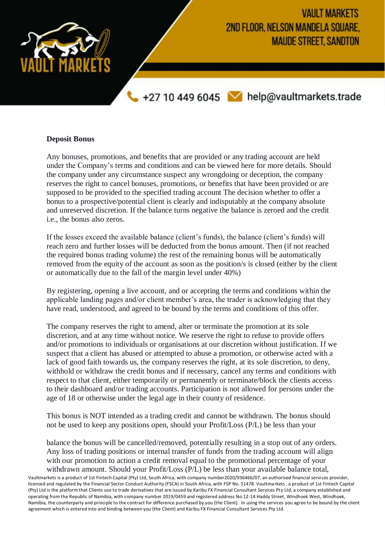

## **Deposit Bonus**

Any bonuses, promotions, and benefits that are provided or any trading account are held under the Company's terms and conditions and can be viewed here for more details. Should the company under any circumstance suspect any wrongdoing or deception, the company reserves the right to cancel bonuses, promotions, or benefits that have been provided or are supposed to be provided to the specified trading account The decision whether to offer a bonus to a prospective/potential client is clearly and indisputably at the company absolute and unreserved discretion. If the balance turns negative the balance is zeroed and the credit i.e., the bonus also zeros.

If the losses exceed the available balance (client's funds), the balance (client's funds) will reach zero and further losses will be deducted from the bonus amount. Then (if not reached the required bonus trading volume) the rest of the remaining bonus will be automatically removed from the equity of the account as soon as the position/s is closed (either by the client or automatically due to the fall of the margin level under 40%)

By registering, opening a live account, and or accepting the terms and conditions within the applicable landing pages and/or client member's area, the trader is acknowledging that they have read, understood, and agreed to be bound by the terms and conditions of this offer.

The company reserves the right to amend, alter or terminate the promotion at its sole discretion, and at any time without notice. We reserve the right to refuse to provide offers and/or promotions to individuals or organisations at our discretion without justification. If we suspect that a client has abused or attempted to abuse a promotion, or otherwise acted with a lack of good faith towards us, the company reserves the right, at its sole discretion, to deny, withhold or withdraw the credit bonus and if necessary, cancel any terms and conditions with respect to that client, either temporarily or permanently or terminate/block the clients access to their dashboard and/or trading accounts. Participation is not allowed for persons under the age of 18 or otherwise under the legal age in their county of residence.

This bonus is NOT intended as a trading credit and cannot be withdrawn. The bonus should not be used to keep any positions open, should your Profit/Loss (P/L) be less than your

balance the bonus will be cancelled/removed, potentially resulting in a stop out of any orders. Any loss of trading positions or internal transfer of funds from the trading account will align with our promotion to action a credit removal equal to the promotional percentage of your withdrawn amount. Should your Profit/Loss (P/L) be less than your available balance total,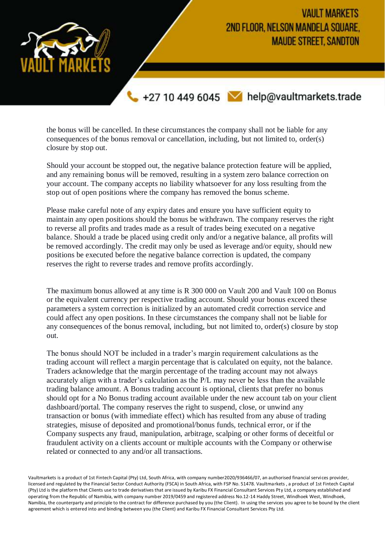

the bonus will be cancelled. In these circumstances the company shall not be liable for any consequences of the bonus removal or cancellation, including, but not limited to, order(s) closure by stop out.

Should your account be stopped out, the negative balance protection feature will be applied, and any remaining bonus will be removed, resulting in a system zero balance correction on your account. The company accepts no liability whatsoever for any loss resulting from the stop out of open positions where the company has removed the bonus scheme.

Please make careful note of any expiry dates and ensure you have sufficient equity to maintain any open positions should the bonus be withdrawn. The company reserves the right to reverse all profits and trades made as a result of trades being executed on a negative balance. Should a trade be placed using credit only and/or a negative balance, all profits will be removed accordingly. The credit may only be used as leverage and/or equity, should new positions be executed before the negative balance correction is updated, the company reserves the right to reverse trades and remove profits accordingly.

The maximum bonus allowed at any time is R 300 000 on Vault 200 and Vault 100 on Bonus or the equivalent currency per respective trading account. Should your bonus exceed these parameters a system correction is initialized by an automated credit correction service and could affect any open positions. In these circumstances the company shall not be liable for any consequences of the bonus removal, including, but not limited to, order(s) closure by stop out.

The bonus should NOT be included in a trader's margin requirement calculations as the trading account will reflect a margin percentage that is calculated on equity, not the balance. Traders acknowledge that the margin percentage of the trading account may not always accurately align with a trader's calculation as the P/L may never be less than the available trading balance amount. A Bonus trading account is optional, clients that prefer no bonus should opt for a No Bonus trading account available under the new account tab on your client dashboard/portal. The company reserves the right to suspend, close, or unwind any transaction or bonus (with immediate effect) which has resulted from any abuse of trading strategies, misuse of deposited and promotional/bonus funds, technical error, or if the Company suspects any fraud, manipulation, arbitrage, scalping or other forms of deceitful or fraudulent activity on a clients account or multiple accounts with the Company or otherwise related or connected to any and/or all transactions.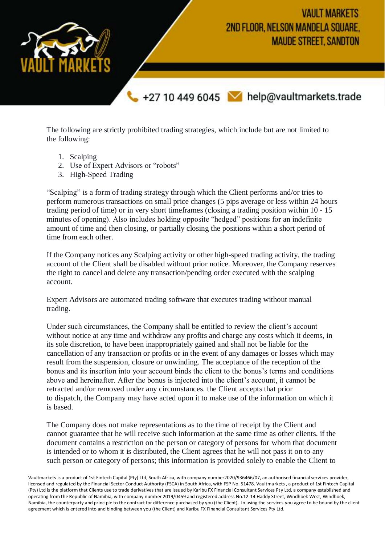**VAULT MARKETS** 2ND FLOOR, NELSON MANDELA SQUARE, **MAUDE STREET, SANDTON** +27 10 449 6045 M help@vaultmarkets.trade

The following are strictly prohibited trading strategies, which include but are not limited to the following:

- 1. Scalping
- 2. Use of Expert Advisors or "robots"
- 3. High-Speed Trading

"Scalping" is a form of trading strategy through which the Client performs and/or tries to perform numerous transactions on small price changes (5 pips average or less within 24 hours trading period of time) or in very short timeframes (closing a trading position within 10 - 15 minutes of opening). Also includes holding opposite "hedged" positions for an indefinite amount of time and then closing, or partially closing the positions within a short period of time from each other.

If the Company notices any Scalping activity or other high-speed trading activity, the trading account of the Client shall be disabled without prior notice. Moreover, the Company reserves the right to cancel and delete any transaction/pending order executed with the scalping account.

Expert Advisors are automated trading software that executes trading without manual trading.

Under such circumstances, the Company shall be entitled to review the client's account without notice at any time and withdraw any profits and charge any costs which it deems, in its sole discretion, to have been inappropriately gained and shall not be liable for the cancellation of any transaction or profits or in the event of any damages or losses which may result from the suspension, closure or unwinding. The acceptance of the reception of the bonus and its insertion into your account binds the client to the bonus's terms and conditions above and hereinafter. After the bonus is injected into the client's account, it cannot be retracted and/or removed under any circumstances. the Client accepts that prior to dispatch, the Company may have acted upon it to make use of the information on which it is based.

The Company does not make representations as to the time of receipt by the Client and cannot guarantee that he will receive such information at the same time as other clients. if the document contains a restriction on the person or category of persons for whom that document is intended or to whom it is distributed, the Client agrees that he will not pass it on to any such person or category of persons; this information is provided solely to enable the Client to